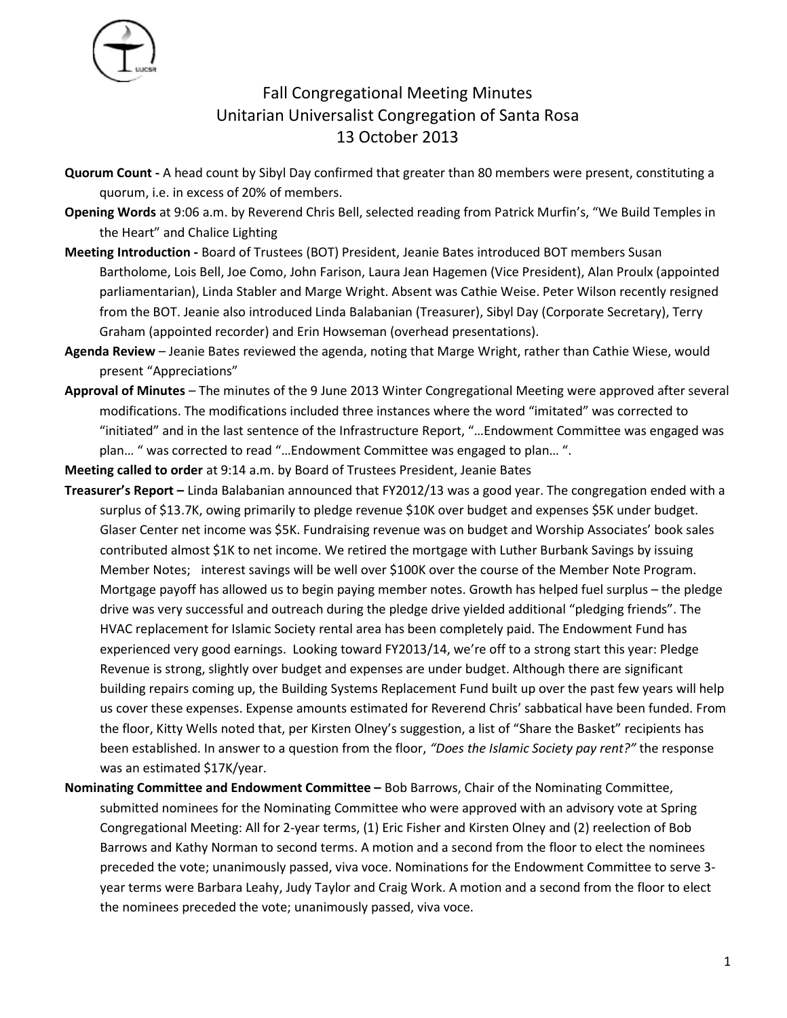

## Fall Congregational Meeting Minutes Unitarian Universalist Congregation of Santa Rosa 13 October 2013

- **Quorum Count** A head count by Sibyl Day confirmed that greater than 80 members were present, constituting a quorum, i.e. in excess of 20% of members.
- **Opening Words** at 9:06 a.m. by Reverend Chris Bell, selected reading from Patrick Murfin's, "We Build Temples in the Heart" and Chalice Lighting
- **Meeting Introduction** Board of Trustees (BOT) President, Jeanie Bates introduced BOT members Susan Bartholome, Lois Bell, Joe Como, John Farison, Laura Jean Hagemen (Vice President), Alan Proulx (appointed parliamentarian), Linda Stabler and Marge Wright. Absent was Cathie Weise. Peter Wilson recently resigned from the BOT. Jeanie also introduced Linda Balabanian (Treasurer), Sibyl Day (Corporate Secretary), Terry Graham (appointed recorder) and Erin Howseman (overhead presentations).
- **Agenda Review** Jeanie Bates reviewed the agenda, noting that Marge Wright, rather than Cathie Wiese, would present "Appreciations"
- **Approval of Minutes**  The minutes of the 9 June 2013 Winter Congregational Meeting were approved after several modifications. The modifications included three instances where the word "imitated" was corrected to "initiated" and in the last sentence of the Infrastructure Report, "…Endowment Committee was engaged was plan… " was corrected to read "…Endowment Committee was engaged to plan… ".

**Meeting called to order** at 9:14 a.m. by Board of Trustees President, Jeanie Bates

- **Treasurer's Report** Linda Balabanian announced that FY2012/13 was a good year. The congregation ended with a surplus of \$13.7K, owing primarily to pledge revenue \$10K over budget and expenses \$5K under budget. Glaser Center net income was \$5K. Fundraising revenue was on budget and Worship Associates' book sales contributed almost \$1K to net income. We retired the mortgage with Luther Burbank Savings by issuing Member Notes; interest savings will be well over \$100K over the course of the Member Note Program. Mortgage payoff has allowed us to begin paying member notes. Growth has helped fuel surplus – the pledge drive was very successful and outreach during the pledge drive yielded additional "pledging friends". The HVAC replacement for Islamic Society rental area has been completely paid. The Endowment Fund has experienced very good earnings. Looking toward FY2013/14, we're off to a strong start this year: Pledge Revenue is strong, slightly over budget and expenses are under budget. Although there are significant building repairs coming up, the Building Systems Replacement Fund built up over the past few years will help us cover these expenses. Expense amounts estimated for Reverend Chris' sabbatical have been funded. From the floor, Kitty Wells noted that, per Kirsten Olney's suggestion, a list of "Share the Basket" recipients has been established. In answer to a question from the floor, *"Does the Islamic Society pay rent?"* the response was an estimated \$17K/year.
- **Nominating Committee and Endowment Committee –** Bob Barrows, Chair of the Nominating Committee, submitted nominees for the Nominating Committee who were approved with an advisory vote at Spring Congregational Meeting: All for 2-year terms, (1) Eric Fisher and Kirsten Olney and (2) reelection of Bob Barrows and Kathy Norman to second terms. A motion and a second from the floor to elect the nominees preceded the vote; unanimously passed, viva voce. Nominations for the Endowment Committee to serve 3 year terms were Barbara Leahy, Judy Taylor and Craig Work. A motion and a second from the floor to elect the nominees preceded the vote; unanimously passed, viva voce.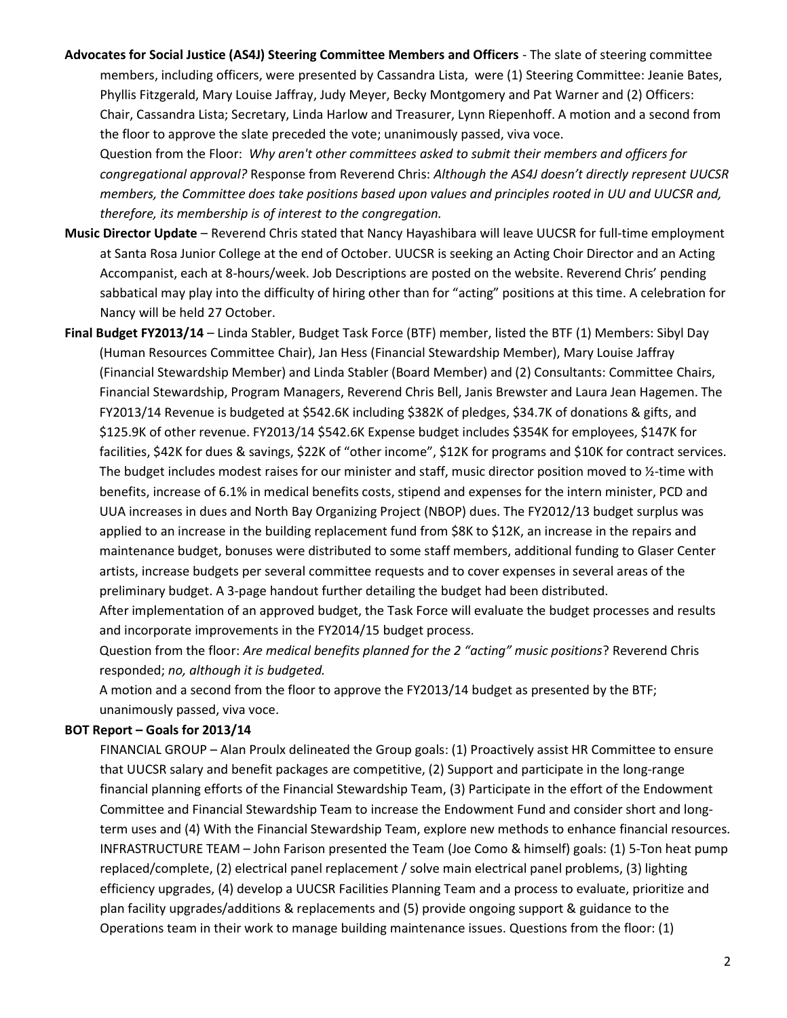**Advocates for Social Justice (AS4J) Steering Committee Members and Officers** - The slate of steering committee members, including officers, were presented by Cassandra Lista, were (1) Steering Committee: Jeanie Bates, Phyllis Fitzgerald, Mary Louise Jaffray, Judy Meyer, Becky Montgomery and Pat Warner and (2) Officers: Chair, Cassandra Lista; Secretary, Linda Harlow and Treasurer, Lynn Riepenhoff. A motion and a second from the floor to approve the slate preceded the vote; unanimously passed, viva voce.

Question from the Floor: *Why aren't other committees asked to submit their members and officers for congregational approval?* Response from Reverend Chris: *Although the AS4J doesn't directly represent UUCSR members, the Committee does take positions based upon values and principles rooted in UU and UUCSR and, therefore, its membership is of interest to the congregation.*

- **Music Director Update**  Reverend Chris stated that Nancy Hayashibara will leave UUCSR for full-time employment at Santa Rosa Junior College at the end of October. UUCSR is seeking an Acting Choir Director and an Acting Accompanist, each at 8-hours/week. Job Descriptions are posted on the website. Reverend Chris' pending sabbatical may play into the difficulty of hiring other than for "acting" positions at this time. A celebration for Nancy will be held 27 October.
- **Final Budget FY2013/14** Linda Stabler, Budget Task Force (BTF) member, listed the BTF (1) Members: Sibyl Day (Human Resources Committee Chair), Jan Hess (Financial Stewardship Member), Mary Louise Jaffray (Financial Stewardship Member) and Linda Stabler (Board Member) and (2) Consultants: Committee Chairs, Financial Stewardship, Program Managers, Reverend Chris Bell, Janis Brewster and Laura Jean Hagemen. The FY2013/14 Revenue is budgeted at \$542.6K including \$382K of pledges, \$34.7K of donations & gifts, and \$125.9K of other revenue. FY2013/14 \$542.6K Expense budget includes \$354K for employees, \$147K for facilities, \$42K for dues & savings, \$22K of "other income", \$12K for programs and \$10K for contract services. The budget includes modest raises for our minister and staff, music director position moved to ½-time with benefits, increase of 6.1% in medical benefits costs, stipend and expenses for the intern minister, PCD and UUA increases in dues and North Bay Organizing Project (NBOP) dues. The FY2012/13 budget surplus was applied to an increase in the building replacement fund from \$8K to \$12K, an increase in the repairs and maintenance budget, bonuses were distributed to some staff members, additional funding to Glaser Center artists, increase budgets per several committee requests and to cover expenses in several areas of the preliminary budget. A 3-page handout further detailing the budget had been distributed.

After implementation of an approved budget, the Task Force will evaluate the budget processes and results and incorporate improvements in the FY2014/15 budget process.

Question from the floor: *Are medical benefits planned for the 2 "acting" music positions*? Reverend Chris responded; *no, although it is budgeted.* 

A motion and a second from the floor to approve the FY2013/14 budget as presented by the BTF; unanimously passed, viva voce.

## **BOT Report – Goals for 2013/14**

FINANCIAL GROUP – Alan Proulx delineated the Group goals: (1) Proactively assist HR Committee to ensure that UUCSR salary and benefit packages are competitive, (2) Support and participate in the long-range financial planning efforts of the Financial Stewardship Team, (3) Participate in the effort of the Endowment Committee and Financial Stewardship Team to increase the Endowment Fund and consider short and longterm uses and (4) With the Financial Stewardship Team, explore new methods to enhance financial resources. INFRASTRUCTURE TEAM – John Farison presented the Team (Joe Como & himself) goals: (1) 5-Ton heat pump replaced/complete, (2) electrical panel replacement / solve main electrical panel problems, (3) lighting efficiency upgrades, (4) develop a UUCSR Facilities Planning Team and a process to evaluate, prioritize and plan facility upgrades/additions & replacements and (5) provide ongoing support & guidance to the Operations team in their work to manage building maintenance issues. Questions from the floor: (1)